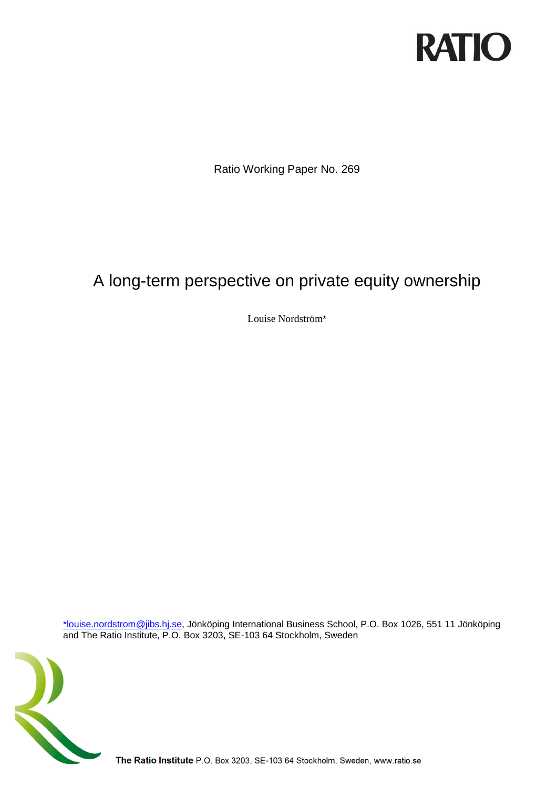

Ratio Working Paper No. 269

## A long-term perspective on private equity ownership

Louise Nordström\*

[\\*louise.nordstrom@jibs.hj.se,](mailto:*louise.nordstrom@jibs.hj.se) Jönköping International Business School, P.O. Box 1026, 551 11 Jönköping and The Ratio Institute, P.O. Box 3203, SE-103 64 Stockholm, Sweden



The Ratio Institute P.O. Box 3203, SE-103 64 Stockholm, Sweden, www.ratio.se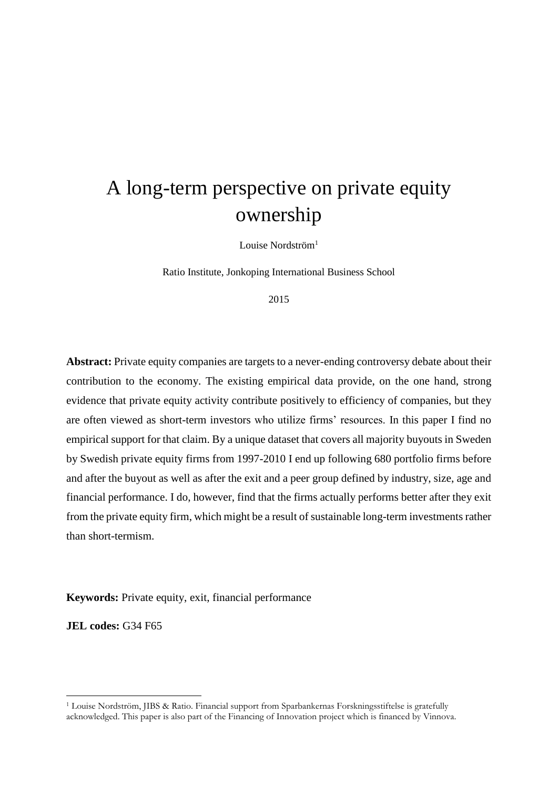# A long-term perspective on private equity ownership

Louise Nordström<sup>1</sup>

Ratio Institute, Jonkoping International Business School

2015

**Abstract:** Private equity companies are targets to a never-ending controversy debate about their contribution to the economy. The existing empirical data provide, on the one hand, strong evidence that private equity activity contribute positively to efficiency of companies, but they are often viewed as short-term investors who utilize firms' resources. In this paper I find no empirical support for that claim. By a unique dataset that covers all majority buyouts in Sweden by Swedish private equity firms from 1997-2010 I end up following 680 portfolio firms before and after the buyout as well as after the exit and a peer group defined by industry, size, age and financial performance. I do, however, find that the firms actually performs better after they exit from the private equity firm, which might be a result of sustainable long-term investments rather than short-termism.

**Keywords:** Private equity, exit, financial performance

**JEL codes:** G34 F65

-

<sup>1</sup> Louise Nordström, JIBS & Ratio. Financial support from Sparbankernas Forskningsstiftelse is gratefully acknowledged. This paper is also part of the Financing of Innovation project which is financed by Vinnova.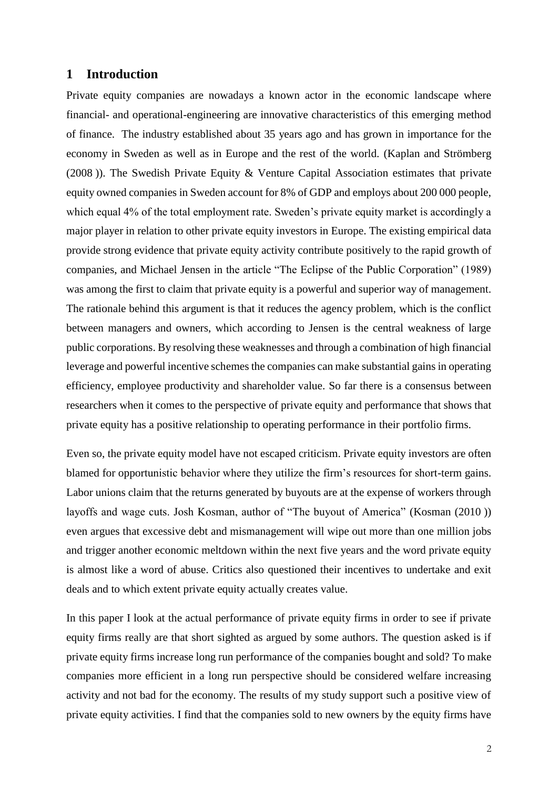#### **1 Introduction**

Private equity companies are nowadays a known actor in the economic landscape where financial- and operational-engineering are innovative characteristics of this emerging method of finance. The industry established about 35 years ago and has grown in importance for the economy in Sweden as well as in Europe and the rest of the world. [\(Kaplan and Strömberg](#page-14-0)  [\(2008](#page-14-0) )). The Swedish Private Equity & Venture Capital Association estimates that private equity owned companies in Sweden account for 8% of GDP and employs about 200 000 people, which equal 4% of the total employment rate. Sweden's private equity market is accordingly a major player in relation to other private equity investors in Europe. The existing empirical data provide strong evidence that private equity activity contribute positively to the rapid growth of companies, and Michael Jensen in the article "The Eclipse of the Public Corporation" (1989) was among the first to claim that private equity is a powerful and superior way of management. The rationale behind this argument is that it reduces the agency problem, which is the conflict between managers and owners, which according to Jensen is the central weakness of large public corporations. By resolving these weaknesses and through a combination of high financial leverage and powerful incentive schemes the companies can make substantial gains in operating efficiency, employee productivity and shareholder value. So far there is a consensus between researchers when it comes to the perspective of private equity and performance that shows that private equity has a positive relationship to operating performance in their portfolio firms.

Even so, the private equity model have not escaped criticism. Private equity investors are often blamed for opportunistic behavior where they utilize the firm's resources for short-term gains. Labor unions claim that the returns generated by buyouts are at the expense of workers through layoffs and wage cuts. Josh Kosman, author of "The buyout of America" [\(Kosman \(2010](#page-14-1) )) even argues that excessive debt and mismanagement will wipe out more than one million jobs and trigger another economic meltdown within the next five years and the word private equity is almost like a word of abuse. Critics also questioned their incentives to undertake and exit deals and to which extent private equity actually creates value.

In this paper I look at the actual performance of private equity firms in order to see if private equity firms really are that short sighted as argued by some authors. The question asked is if private equity firms increase long run performance of the companies bought and sold? To make companies more efficient in a long run perspective should be considered welfare increasing activity and not bad for the economy. The results of my study support such a positive view of private equity activities. I find that the companies sold to new owners by the equity firms have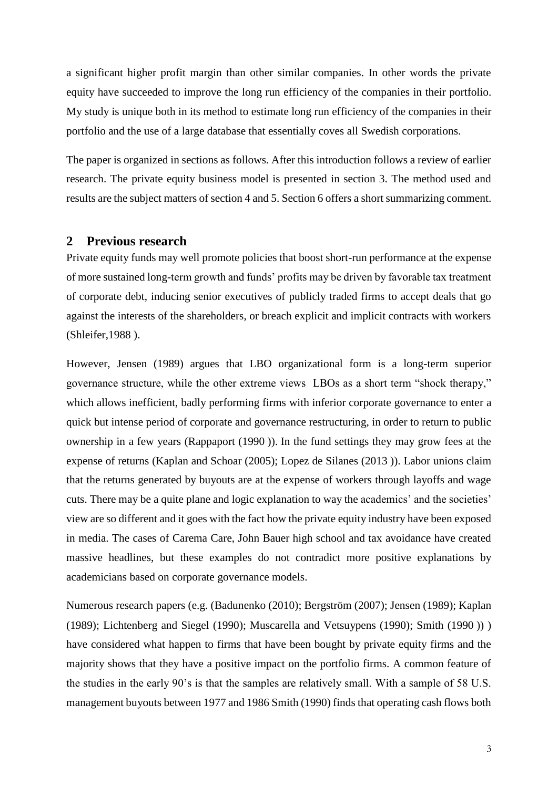a significant higher profit margin than other similar companies. In other words the private equity have succeeded to improve the long run efficiency of the companies in their portfolio. My study is unique both in its method to estimate long run efficiency of the companies in their portfolio and the use of a large database that essentially coves all Swedish corporations.

The paper is organized in sections as follows. After this introduction follows a review of earlier research. The private equity business model is presented in section 3. The method used and results are the subject matters of section 4 and 5. Section 6 offers a short summarizing comment.

#### **2 Previous research**

Private equity funds may well promote policies that boost short-run performance at the expense of more sustained long-term growth and funds' profits may be driven by favorable tax treatment of corporate debt, inducing senior executives of publicly traded firms to accept deals that go against the interests of the shareholders, or breach explicit and implicit contracts with workers [\(Shleifer,1988](#page-15-0) ).

However, Jensen (1989) argues that LBO organizational form is a long-term superior governance structure, while the other extreme views LBOs as a short term "shock therapy," which allows inefficient, badly performing firms with inferior corporate governance to enter a quick but intense period of corporate and governance restructuring, in order to return to public ownership in a few years [\(Rappaport \(1990](#page-15-1) )). In the fund settings they may grow fees at the expense of returns [\(Kaplan and Schoar \(2005\)](#page-14-2); [Lopez de Silanes \(2013](#page-14-3) )). Labor unions claim that the returns generated by buyouts are at the expense of workers through layoffs and wage cuts. There may be a quite plane and logic explanation to way the academics' and the societies' view are so different and it goes with the fact how the private equity industry have been exposed in media. The cases of Carema Care, John Bauer high school and tax avoidance have created massive headlines, but these examples do not contradict more positive explanations by academicians based on corporate governance models.

Numerous research papers (e.g. [\(Badunenko \(2010\)](#page-14-4); Bergström (2007); [Jensen \(1989\)](#page-14-5); [Kaplan](#page-14-6)  [\(1989\)](#page-14-6); [Lichtenberg and Siegel \(1990\)](#page-14-7); [Muscarella and Vetsuypens \(1990\)](#page-15-2); [Smith \(1990](#page-15-3) )) ) have considered what happen to firms that have been bought by private equity firms and the majority shows that they have a positive impact on the portfolio firms. A common feature of the studies in the early 90's is that the samples are relatively small. With a sample of 58 U.S. management buyouts between 1977 and 1986 Smith (1990) finds that operating cash flows both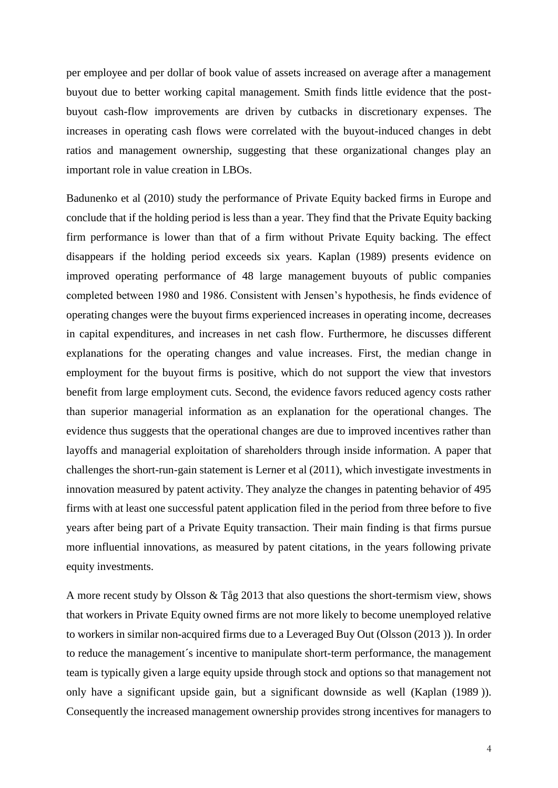per employee and per dollar of book value of assets increased on average after a management buyout due to better working capital management. Smith finds little evidence that the postbuyout cash-flow improvements are driven by cutbacks in discretionary expenses. The increases in operating cash flows were correlated with the buyout-induced changes in debt ratios and management ownership, suggesting that these organizational changes play an important role in value creation in LBOs.

Badunenko et al (2010) study the performance of Private Equity backed firms in Europe and conclude that if the holding period is less than a year. They find that the Private Equity backing firm performance is lower than that of a firm without Private Equity backing. The effect disappears if the holding period exceeds six years. Kaplan (1989) presents evidence on improved operating performance of 48 large management buyouts of public companies completed between 1980 and 1986. Consistent with Jensen's hypothesis, he finds evidence of operating changes were the buyout firms experienced increases in operating income, decreases in capital expenditures, and increases in net cash flow. Furthermore, he discusses different explanations for the operating changes and value increases. First, the median change in employment for the buyout firms is positive, which do not support the view that investors benefit from large employment cuts. Second, the evidence favors reduced agency costs rather than superior managerial information as an explanation for the operational changes. The evidence thus suggests that the operational changes are due to improved incentives rather than layoffs and managerial exploitation of shareholders through inside information. A paper that challenges the short-run-gain statement is Lerner et al (2011), which investigate investments in innovation measured by patent activity. They analyze the changes in patenting behavior of 495 firms with at least one successful patent application filed in the period from three before to five years after being part of a Private Equity transaction. Their main finding is that firms pursue more influential innovations, as measured by patent citations, in the years following private equity investments.

A more recent study by Olsson & Tåg 2013 that also questions the short-termism view, shows that workers in Private Equity owned firms are not more likely to become unemployed relative to workers in similar non-acquired firms due to a Leveraged Buy Out [\(Olsson \(2013](#page-15-4) )). In order to reduce the management´s incentive to manipulate short-term performance, the management team is typically given a large equity upside through stock and options so that management not only have a significant upside gain, but a significant downside as well [\(Kaplan \(1989](#page-14-6) )). Consequently the increased management ownership provides strong incentives for managers to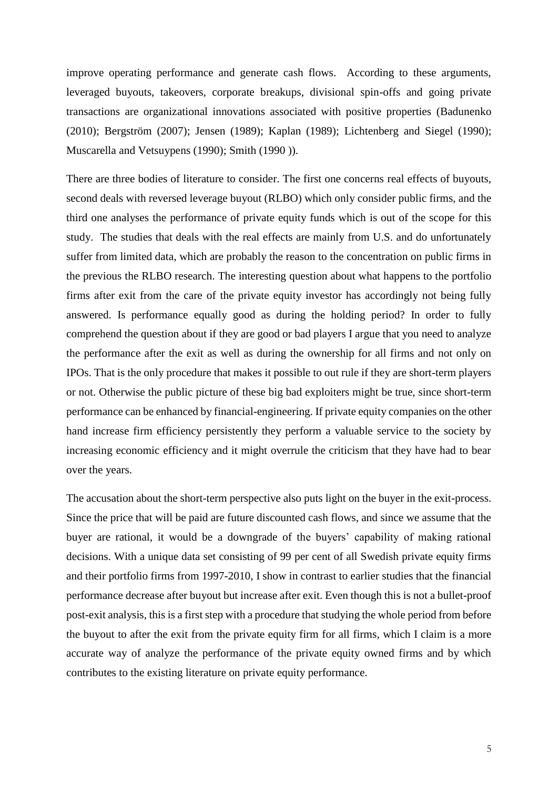improve operating performance and generate cash flows. According to these arguments, leveraged buyouts, takeovers, corporate breakups, divisional spin-offs and going private transactions are organizational innovations associated with positive properties [\(Badunenko](#page-14-4)  [\(2010\)](#page-14-4); Bergström (2007); [Jensen \(1989\)](#page-14-5); [Kaplan \(1989\)](#page-14-6); [Lichtenberg and Siegel \(1990\)](#page-14-7); [Muscarella and Vetsuypens \(1990\)](#page-15-2); [Smith \(1990](#page-15-3) )).

There are three bodies of literature to consider. The first one concerns real effects of buyouts, second deals with reversed leverage buyout (RLBO) which only consider public firms, and the third one analyses the performance of private equity funds which is out of the scope for this study. The studies that deals with the real effects are mainly from U.S. and do unfortunately suffer from limited data, which are probably the reason to the concentration on public firms in the previous the RLBO research. The interesting question about what happens to the portfolio firms after exit from the care of the private equity investor has accordingly not being fully answered. Is performance equally good as during the holding period? In order to fully comprehend the question about if they are good or bad players I argue that you need to analyze the performance after the exit as well as during the ownership for all firms and not only on IPOs. That is the only procedure that makes it possible to out rule if they are short-term players or not. Otherwise the public picture of these big bad exploiters might be true, since short-term performance can be enhanced by financial-engineering. If private equity companies on the other hand increase firm efficiency persistently they perform a valuable service to the society by increasing economic efficiency and it might overrule the criticism that they have had to bear over the years.

The accusation about the short-term perspective also puts light on the buyer in the exit-process. Since the price that will be paid are future discounted cash flows, and since we assume that the buyer are rational, it would be a downgrade of the buyers' capability of making rational decisions. With a unique data set consisting of 99 per cent of all Swedish private equity firms and their portfolio firms from 1997-2010, I show in contrast to earlier studies that the financial performance decrease after buyout but increase after exit. Even though this is not a bullet-proof post-exit analysis, this is a first step with a procedure that studying the whole period from before the buyout to after the exit from the private equity firm for all firms, which I claim is a more accurate way of analyze the performance of the private equity owned firms and by which contributes to the existing literature on private equity performance.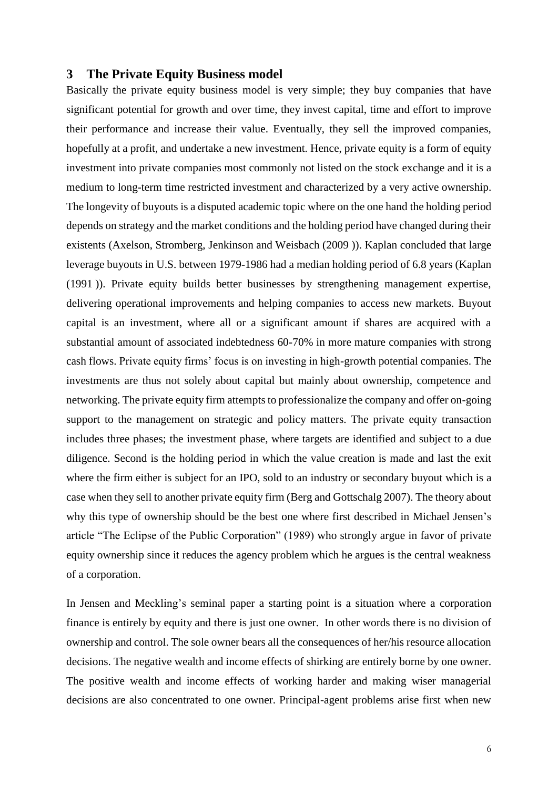#### **3 The Private Equity Business model**

Basically the private equity business model is very simple; they buy companies that have significant potential for growth and over time, they invest capital, time and effort to improve their performance and increase their value. Eventually, they sell the improved companies, hopefully at a profit, and undertake a new investment. Hence, private equity is a form of equity investment into private companies most commonly not listed on the stock exchange and it is a medium to long-term time restricted investment and characterized by a very active ownership. The longevity of buyouts is a disputed academic topic where on the one hand the holding period depends on strategy and the market conditions and the holding period have changed during their existents [\(Axelson, Stromberg, Jenkinson and Weisbach \(2009](#page-14-8) )). Kaplan concluded that large leverage buyouts in U.S. between 1979-1986 had a median holding period of 6.8 years [\(Kaplan](#page-14-9)  [\(1991](#page-14-9) )). Private equity builds better businesses by strengthening management expertise, delivering operational improvements and helping companies to access new markets. Buyout capital is an investment, where all or a significant amount if shares are acquired with a substantial amount of associated indebtedness 60-70% in more mature companies with strong cash flows. Private equity firms' focus is on investing in high-growth potential companies. The investments are thus not solely about capital but mainly about ownership, competence and networking. The private equity firm attempts to professionalize the company and offer on-going support to the management on strategic and policy matters. The private equity transaction includes three phases; the investment phase, where targets are identified and subject to a due diligence. Second is the holding period in which the value creation is made and last the exit where the firm either is subject for an IPO, sold to an industry or secondary buyout which is a case when they sell to another private equity firm (Berg and Gottschalg 2007). The theory about why this type of ownership should be the best one where first described in Michael Jensen's article "The Eclipse of the Public Corporation" (1989) who strongly argue in favor of private equity ownership since it reduces the agency problem which he argues is the central weakness of a corporation.

In Jensen and Meckling's seminal paper a starting point is a situation where a corporation finance is entirely by equity and there is just one owner. In other words there is no division of ownership and control. The sole owner bears all the consequences of her/his resource allocation decisions. The negative wealth and income effects of shirking are entirely borne by one owner. The positive wealth and income effects of working harder and making wiser managerial decisions are also concentrated to one owner. Principal-agent problems arise first when new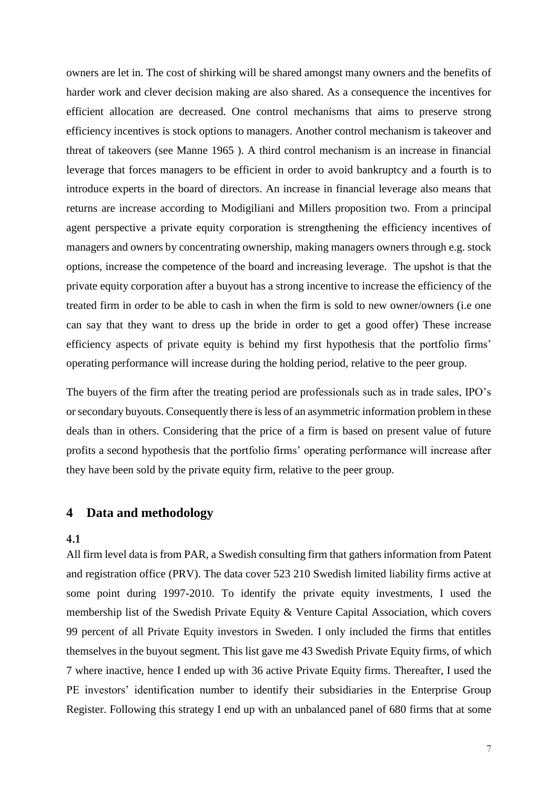owners are let in. The cost of shirking will be shared amongst many owners and the benefits of harder work and clever decision making are also shared. As a consequence the incentives for efficient allocation are decreased. One control mechanisms that aims to preserve strong efficiency incentives is stock options to managers. Another control mechanism is takeover and threat of takeovers (see Manne 1965 ). A third control mechanism is an increase in financial leverage that forces managers to be efficient in order to avoid bankruptcy and a fourth is to introduce experts in the board of directors. An increase in financial leverage also means that returns are increase according to Modigiliani and Millers proposition two. From a principal agent perspective a private equity corporation is strengthening the efficiency incentives of managers and owners by concentrating ownership, making managers owners through e.g. stock options, increase the competence of the board and increasing leverage. The upshot is that the private equity corporation after a buyout has a strong incentive to increase the efficiency of the treated firm in order to be able to cash in when the firm is sold to new owner/owners (i.e one can say that they want to dress up the bride in order to get a good offer) These increase efficiency aspects of private equity is behind my first hypothesis that the portfolio firms' operating performance will increase during the holding period, relative to the peer group.

The buyers of the firm after the treating period are professionals such as in trade sales, IPO's or secondary buyouts. Consequently there is less of an asymmetric information problem in these deals than in others. Considering that the price of a firm is based on present value of future profits a second hypothesis that the portfolio firms' operating performance will increase after they have been sold by the private equity firm, relative to the peer group.

#### **4 Data and methodology**

#### **4.1**

All firm level data is from PAR, a Swedish consulting firm that gathers information from Patent and registration office (PRV). The data cover 523 210 Swedish limited liability firms active at some point during 1997-2010. To identify the private equity investments, I used the membership list of the Swedish Private Equity & Venture Capital Association, which covers 99 percent of all Private Equity investors in Sweden. I only included the firms that entitles themselves in the buyout segment. This list gave me 43 Swedish Private Equity firms, of which 7 where inactive, hence I ended up with 36 active Private Equity firms. Thereafter, I used the PE investors' identification number to identify their subsidiaries in the Enterprise Group Register. Following this strategy I end up with an unbalanced panel of 680 firms that at some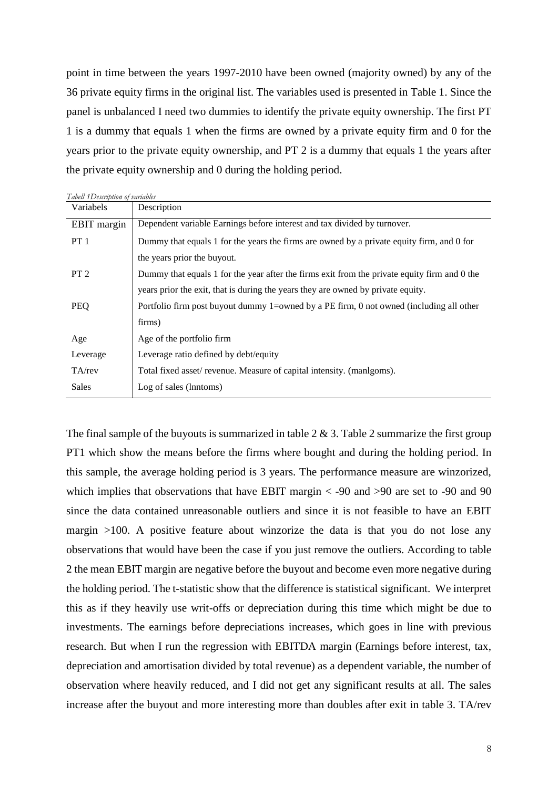point in time between the years 1997-2010 have been owned (majority owned) by any of the 36 private equity firms in the original list. The variables used is presented in Table 1. Since the panel is unbalanced I need two dummies to identify the private equity ownership. The first PT 1 is a dummy that equals 1 when the firms are owned by a private equity firm and 0 for the years prior to the private equity ownership, and PT 2 is a dummy that equals 1 the years after the private equity ownership and 0 during the holding period.

| Tabell 1Description of variables |                                                                                              |
|----------------------------------|----------------------------------------------------------------------------------------------|
| Variabels                        | Description                                                                                  |
| <b>EBIT</b> margin               | Dependent variable Earnings before interest and tax divided by turnover.                     |
| $PT_1$                           | Dummy that equals 1 for the years the firms are owned by a private equity firm, and 0 for    |
|                                  | the years prior the buyout.                                                                  |
| PT <sub>2</sub>                  | Dummy that equals 1 for the year after the firms exit from the private equity firm and 0 the |
|                                  | years prior the exit, that is during the years they are owned by private equity.             |
| PEQ                              | Portfolio firm post buyout dummy 1=owned by a PE firm, 0 not owned (including all other      |
|                                  | firms)                                                                                       |
| Age                              | Age of the portfolio firm                                                                    |
| Leverage                         | Leverage ratio defined by debt/equity                                                        |
| $TA$ /rev                        | Total fixed asset/revenue. Measure of capital intensity. (manlgoms).                         |
| Sales                            | Log of sales (lnntoms)                                                                       |

The final sample of the buyouts is summarized in table  $2 \& 3$ . Table 2 summarize the first group PT1 which show the means before the firms where bought and during the holding period. In this sample, the average holding period is 3 years. The performance measure are winzorized, which implies that observations that have EBIT margin  $\lt$  -90 and  $\gt$ 90 are set to -90 and 90 since the data contained unreasonable outliers and since it is not feasible to have an EBIT margin >100. A positive feature about winzorize the data is that you do not lose any observations that would have been the case if you just remove the outliers. According to table 2 the mean EBIT margin are negative before the buyout and become even more negative during the holding period. The t-statistic show that the difference is statistical significant. We interpret this as if they heavily use writ-offs or depreciation during this time which might be due to investments. The earnings before depreciations increases, which goes in line with previous research. But when I run the regression with EBITDA margin (Earnings before interest, tax, depreciation and amortisation divided by total revenue) as a dependent variable, the number of observation where heavily reduced, and I did not get any significant results at all. The sales increase after the buyout and more interesting more than doubles after exit in table 3. TA/rev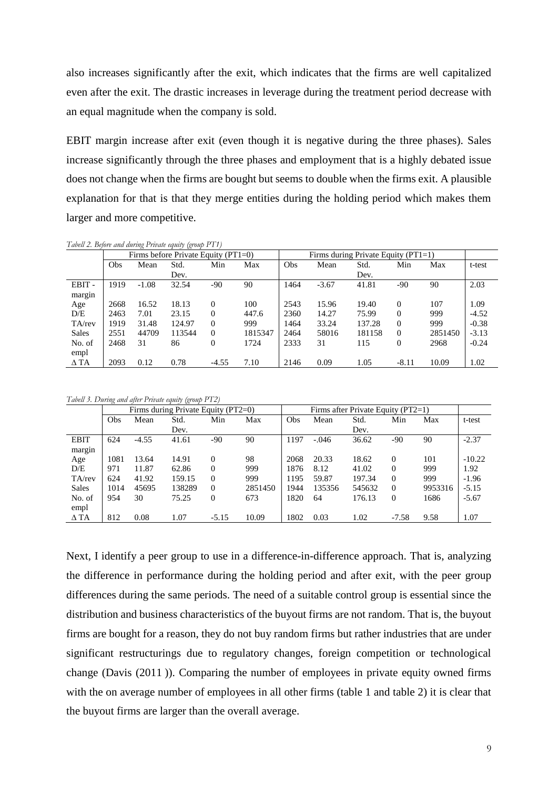also increases significantly after the exit, which indicates that the firms are well capitalized even after the exit. The drastic increases in leverage during the treatment period decrease with an equal magnitude when the company is sold.

EBIT margin increase after exit (even though it is negative during the three phases). Sales increase significantly through the three phases and employment that is a highly debated issue does not change when the firms are bought but seems to double when the firms exit. A plausible explanation for that is that they merge entities during the holding period which makes them larger and more competitive.

*Tabell 2. Before and during Private equity (group PT1)*

|              |      | Firms before Private Equity $(PT1=0)$ |        |          |         | Firms during Private Equity $(PT1=1)$ |         |        |              |         |         |
|--------------|------|---------------------------------------|--------|----------|---------|---------------------------------------|---------|--------|--------------|---------|---------|
|              | Obs  | Mean                                  | Std.   | Min      | Max     | Obs                                   | Mean    | Std.   | Min          | Max     | t-test  |
|              |      |                                       | Dev.   |          |         |                                       |         | Dev.   |              |         |         |
| EBIT-        | 1919 | $-1.08$                               | 32.54  | $-90$    | 90      | 1464                                  | $-3.67$ | 41.81  | $-90$        | 90      | 2.03    |
| margin       |      |                                       |        |          |         |                                       |         |        |              |         |         |
| Age          | 2668 | 16.52                                 | 18.13  | $\Omega$ | 100     | 2543                                  | 15.96   | 19.40  | $\Omega$     | 107     | 1.09    |
| D/E          | 2463 | 7.01                                  | 23.15  | $\Omega$ | 447.6   | 2360                                  | 14.27   | 75.99  | $\Omega$     | 999     | $-4.52$ |
| $TA$ /rev    | 1919 | 31.48                                 | 124.97 | $\Omega$ | 999     | 1464                                  | 33.24   | 137.28 | $\Omega$     | 999     | $-0.38$ |
| <b>Sales</b> | 2551 | 44709                                 | 113544 | $\Omega$ | 1815347 | 2464                                  | 58016   | 181158 | $\Omega$     | 2851450 | $-3.13$ |
| No. of       | 2468 | 31                                    | 86     | 0        | 1724    | 2333                                  | 31      | 115    | $\mathbf{0}$ | 2968    | $-0.24$ |
| empl         |      |                                       |        |          |         |                                       |         |        |              |         |         |
| $\Delta$ TA  | 2093 | 0.12                                  | 0.78   | $-4.55$  | 7.10    | 2146                                  | 0.09    | 1.05   | $-8.11$      | 10.09   | 1.02    |

*Tabell 3. During and after Private equity (group PT2)*

|              |      | Firms during Private Equity (PT2=0) |        |          |         |      |         | Firms after Private Equity (PT2=1) |          |         |          |
|--------------|------|-------------------------------------|--------|----------|---------|------|---------|------------------------------------|----------|---------|----------|
|              | Obs  | Mean                                | Std.   | Min      | Max     | Obs  | Mean    | Std.                               | Min      | Max     | t-test   |
|              |      |                                     | Dev.   |          |         |      |         | Dev.                               |          |         |          |
| <b>EBIT</b>  | 624  | $-4.55$                             | 41.61  | $-90$    | 90      | 1197 | $-.046$ | 36.62                              | $-90$    | 90      | $-2.37$  |
| margin       |      |                                     |        |          |         |      |         |                                    |          |         |          |
| Age          | 1081 | 13.64                               | 14.91  | $\Omega$ | 98      | 2068 | 20.33   | 18.62                              | $\Omega$ | 101     | $-10.22$ |
| D/E          | 971  | 11.87                               | 62.86  | $\Omega$ | 999     | 1876 | 8.12    | 41.02                              | $\Omega$ | 999     | 1.92     |
| $TA$ /rev    | 624  | 41.92                               | 159.15 | $\Omega$ | 999     | 1195 | 59.87   | 197.34                             | $\Omega$ | 999     | $-1.96$  |
| <b>Sales</b> | 1014 | 45695                               | 138289 | $\Omega$ | 2851450 | 1944 | 135356  | 545632                             | $\Omega$ | 9953316 | $-5.15$  |
| No. of       | 954  | 30                                  | 75.25  | 0        | 673     | 1820 | 64      | 176.13                             | $\Omega$ | 1686    | $-5.67$  |
| empl         |      |                                     |        |          |         |      |         |                                    |          |         |          |
| $\Delta$ TA  | 812  | 0.08                                | 1.07   | $-5.15$  | 10.09   | 1802 | 0.03    | 1.02                               | $-7.58$  | 9.58    | 1.07     |

Next, I identify a peer group to use in a difference-in-difference approach. That is, analyzing the difference in performance during the holding period and after exit, with the peer group differences during the same periods. The need of a suitable control group is essential since the distribution and business characteristics of the buyout firms are not random. That is, the buyout firms are bought for a reason, they do not buy random firms but rather industries that are under significant restructurings due to regulatory changes, foreign competition or technological change [\(Davis \(2011](#page-14-10) )). Comparing the number of employees in private equity owned firms with the on average number of employees in all other firms (table 1 and table 2) it is clear that the buyout firms are larger than the overall average.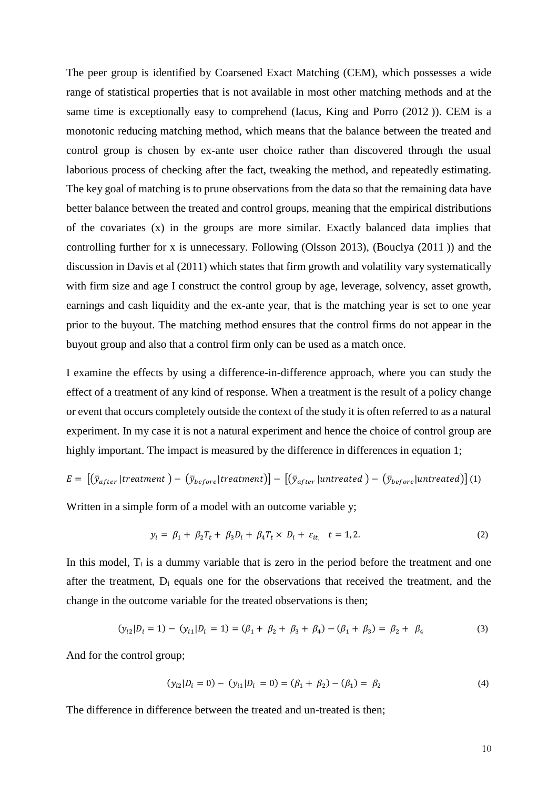The peer group is identified by Coarsened Exact Matching (CEM), which possesses a wide range of statistical properties that is not available in most other matching methods and at the same time is exceptionally easy to comprehend [\(Iacus, King and Porro \(2012](#page-14-11) )). CEM is a monotonic reducing matching method, which means that the balance between the treated and control group is chosen by ex-ante user choice rather than discovered through the usual laborious process of checking after the fact, tweaking the method, and repeatedly estimating. The key goal of matching is to prune observations from the data so that the remaining data have better balance between the treated and control groups, meaning that the empirical distributions of the covariates (x) in the groups are more similar. Exactly balanced data implies that controlling further for x is unnecessary. Following (Olsson 2013), [\(Bouclya \(2011](#page-14-12) )) and the discussion in Davis et al (2011) which states that firm growth and volatility vary systematically with firm size and age I construct the control group by age, leverage, solvency, asset growth, earnings and cash liquidity and the ex-ante year, that is the matching year is set to one year prior to the buyout. The matching method ensures that the control firms do not appear in the buyout group and also that a control firm only can be used as a match once.

I examine the effects by using a difference-in-difference approach, where you can study the effect of a treatment of any kind of response. When a treatment is the result of a policy change or event that occurs completely outside the context of the study it is often referred to as a natural experiment. In my case it is not a natural experiment and hence the choice of control group are highly important. The impact is measured by the difference in differences in equation 1;

$$
E = [(\bar{y}_{after} | treatment) - (\bar{y}_{before} | treatment)] - [(\bar{y}_{after} | untreated) - (\bar{y}_{before} | untreated)] (1)
$$

Written in a simple form of a model with an outcome variable y;

$$
y_i = \beta_1 + \beta_2 T_t + \beta_3 D_i + \beta_4 T_t \times D_i + \varepsilon_{it}, \quad t = 1, 2. \tag{2}
$$

In this model,  $T_t$  is a dummy variable that is zero in the period before the treatment and one after the treatment, D<sup>i</sup> equals one for the observations that received the treatment, and the change in the outcome variable for the treated observations is then;

$$
(y_{i2}|D_i=1) - (y_{i1}|D_i=1) = (\beta_1 + \beta_2 + \beta_3 + \beta_4) - (\beta_1 + \beta_3) = \beta_2 + \beta_4
$$
\n(3)

And for the control group;

$$
(y_{i2}|D_i = 0) - (y_{i1}|D_i = 0) = (\beta_1 + \beta_2) - (\beta_1) = \beta_2
$$
\n(4)

The difference in difference between the treated and un-treated is then;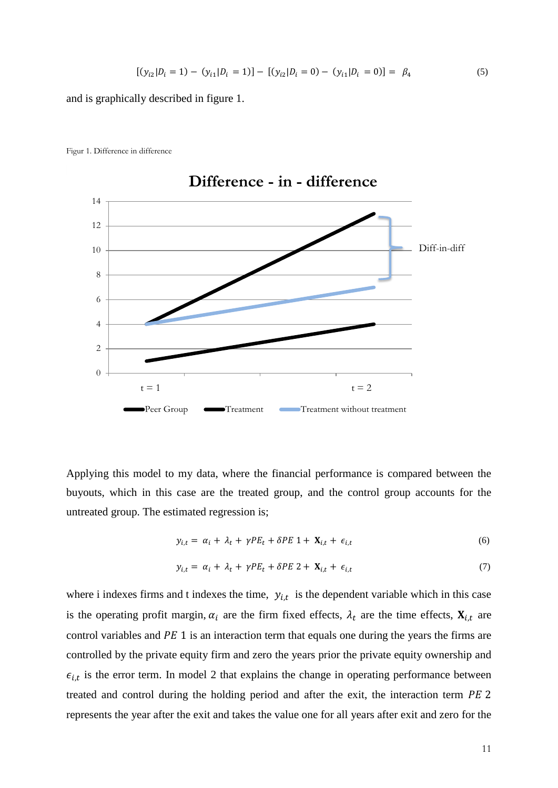$$
[(y_{i2}|D_i=1) - (y_{i1}|D_i=1)] - [(y_{i2}|D_i=0) - (y_{i1}|D_i=0)] = \beta_4
$$
\n(5)

and is graphically described in figure 1.



Figur 1. Difference in difference

Applying this model to my data, where the financial performance is compared between the buyouts, which in this case are the treated group, and the control group accounts for the untreated group. The estimated regression is;

$$
y_{i,t} = \alpha_i + \lambda_t + \gamma PE_t + \delta PE \ 1 + \mathbf{X}_{i,t} + \epsilon_{i,t} \tag{6}
$$

$$
y_{i,t} = \alpha_i + \lambda_t + \gamma PE_t + \delta PE \ 2 + \mathbf{X}_{i,t} + \epsilon_{i,t} \tag{7}
$$

where i indexes firms and t indexes the time,  $y_{i,t}$  is the dependent variable which in this case is the operating profit margin,  $\alpha_i$  are the firm fixed effects,  $\lambda_t$  are the time effects,  $\mathbf{X}_{i,t}$  are control variables and  $PE 1$  is an interaction term that equals one during the years the firms are controlled by the private equity firm and zero the years prior the private equity ownership and  $\epsilon_{i,t}$  is the error term. In model 2 that explains the change in operating performance between treated and control during the holding period and after the exit, the interaction term  $PE$  2 represents the year after the exit and takes the value one for all years after exit and zero for the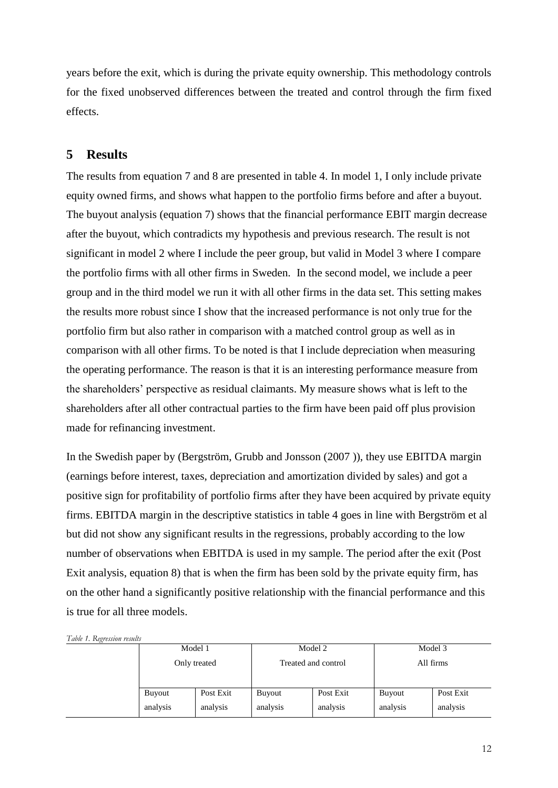years before the exit, which is during the private equity ownership. This methodology controls for the fixed unobserved differences between the treated and control through the firm fixed effects.

#### **5 Results**

 $T^{II}$  *Register*  $R$ 

The results from equation 7 and 8 are presented in table 4. In model 1, I only include private equity owned firms, and shows what happen to the portfolio firms before and after a buyout. The buyout analysis (equation 7) shows that the financial performance EBIT margin decrease after the buyout, which contradicts my hypothesis and previous research. The result is not significant in model 2 where I include the peer group, but valid in Model 3 where I compare the portfolio firms with all other firms in Sweden. In the second model, we include a peer group and in the third model we run it with all other firms in the data set. This setting makes the results more robust since I show that the increased performance is not only true for the portfolio firm but also rather in comparison with a matched control group as well as in comparison with all other firms. To be noted is that I include depreciation when measuring the operating performance. The reason is that it is an interesting performance measure from the shareholders' perspective as residual claimants. My measure shows what is left to the shareholders after all other contractual parties to the firm have been paid off plus provision made for refinancing investment.

In the Swedish paper by [\(Bergström, Grubb and Jonsson \(2007](#page-14-13) )), they use EBITDA margin (earnings before interest, taxes, depreciation and amortization divided by sales) and got a positive sign for profitability of portfolio firms after they have been acquired by private equity firms. EBITDA margin in the descriptive statistics in table 4 goes in line with Bergström et al but did not show any significant results in the regressions, probably according to the low number of observations when EBITDA is used in my sample. The period after the exit (Post Exit analysis, equation 8) that is when the firm has been sold by the private equity firm, has on the other hand a significantly positive relationship with the financial performance and this is true for all three models.

| <i>Lable 1. Regression results</i> |          |                            |                     |           |               |           |
|------------------------------------|----------|----------------------------|---------------------|-----------|---------------|-----------|
|                                    | Model 1  |                            |                     | Model 2   | Model 3       |           |
|                                    |          | Only treated               | Treated and control |           | All firms     |           |
|                                    | Buyout   | Post Exit<br><b>Buyout</b> |                     | Post Exit | <b>Buyout</b> | Post Exit |
|                                    | analysis | analysis                   | analysis            | analysis  |               | analysis  |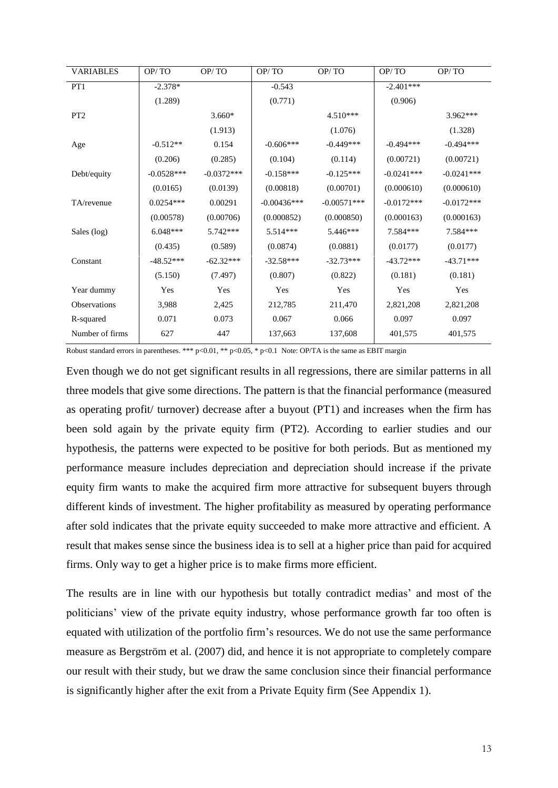| <b>VARIABLES</b>    | OP/TO        | OP/TO        | OP/TO         | OP/TO         | OP/TO        | OP/TO        |
|---------------------|--------------|--------------|---------------|---------------|--------------|--------------|
| PT1                 | $-2.378*$    |              | $-0.543$      |               | $-2.401***$  |              |
|                     | (1.289)      |              | (0.771)       |               | (0.906)      |              |
| PT <sub>2</sub>     |              | $3.660*$     |               | $4.510***$    |              | $3.962***$   |
|                     |              | (1.913)      |               | (1.076)       |              | (1.328)      |
| Age                 | $-0.512**$   | 0.154        | $-0.606***$   | $-0.449***$   | $-0.494***$  | $-0.494***$  |
|                     | (0.206)      | (0.285)      | (0.104)       | (0.114)       | (0.00721)    | (0.00721)    |
| Debt/equity         | $-0.0528***$ | $-0.0372***$ | $-0.158***$   | $-0.125***$   | $-0.0241***$ | $-0.0241***$ |
|                     | (0.0165)     | (0.0139)     | (0.00818)     | (0.00701)     | (0.000610)   | (0.000610)   |
| TA/revenue          | $0.0254***$  | 0.00291      | $-0.00436***$ | $-0.00571***$ | $-0.0172***$ | $-0.0172***$ |
|                     | (0.00578)    | (0.00706)    | (0.000852)    | (0.000850)    | (0.000163)   | (0.000163)   |
| Sales (log)         | $6.048***$   | $5.742***$   | 5.514***      | 5.446***      | 7.584***     | 7.584***     |
|                     | (0.435)      | (0.589)      | (0.0874)      | (0.0881)      | (0.0177)     | (0.0177)     |
| Constant            | $-48.52***$  | $-62.32***$  | $-32.58***$   | $-32.73***$   | $-43.72***$  | $-43.71***$  |
|                     | (5.150)      | (7.497)      | (0.807)       | (0.822)       | (0.181)      | (0.181)      |
| Year dummy          | Yes          | Yes          | Yes           | Yes           | Yes          | Yes          |
| <b>Observations</b> | 3,988        | 2,425        | 212,785       | 211,470       | 2,821,208    | 2,821,208    |
| R-squared           | 0.071        | 0.073        | 0.067         | 0.066         | 0.097        | 0.097        |
| Number of firms     | 627          | 447          | 137,663       | 137,608       | 401,575      | 401,575      |

Robust standard errors in parentheses. \*\*\* p<0.01, \*\* p<0.05, \* p<0.1 Note: OP/TA is the same as EBIT margin

Even though we do not get significant results in all regressions, there are similar patterns in all three models that give some directions. The pattern is that the financial performance (measured as operating profit/ turnover) decrease after a buyout (PT1) and increases when the firm has been sold again by the private equity firm (PT2). According to earlier studies and our hypothesis, the patterns were expected to be positive for both periods. But as mentioned my performance measure includes depreciation and depreciation should increase if the private equity firm wants to make the acquired firm more attractive for subsequent buyers through different kinds of investment. The higher profitability as measured by operating performance after sold indicates that the private equity succeeded to make more attractive and efficient. A result that makes sense since the business idea is to sell at a higher price than paid for acquired firms. Only way to get a higher price is to make firms more efficient.

The results are in line with our hypothesis but totally contradict medias' and most of the politicians' view of the private equity industry, whose performance growth far too often is equated with utilization of the portfolio firm's resources. We do not use the same performance measure as Bergström et al. (2007) did, and hence it is not appropriate to completely compare our result with their study, but we draw the same conclusion since their financial performance is significantly higher after the exit from a Private Equity firm (See Appendix 1).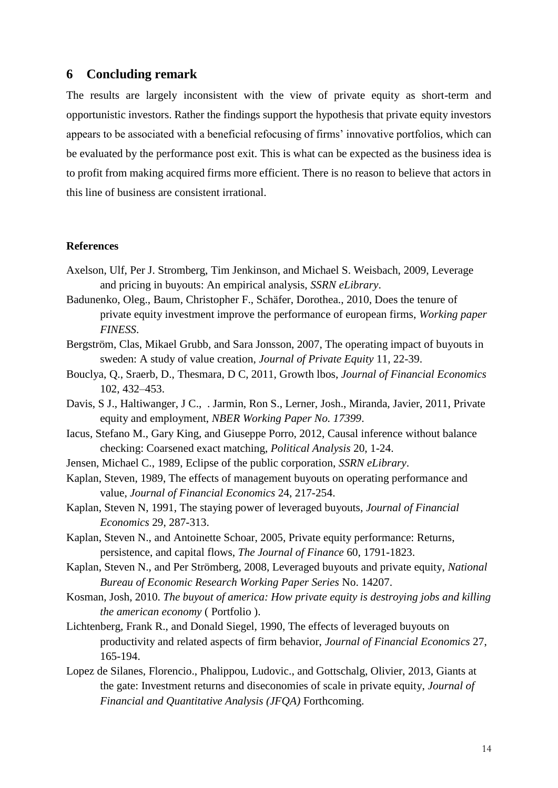#### **6 Concluding remark**

The results are largely inconsistent with the view of private equity as short-term and opportunistic investors. Rather the findings support the hypothesis that private equity investors appears to be associated with a beneficial refocusing of firms' innovative portfolios, which can be evaluated by the performance post exit. This is what can be expected as the business idea is to profit from making acquired firms more efficient. There is no reason to believe that actors in this line of business are consistent irrational.

#### **References**

- <span id="page-14-8"></span>Axelson, Ulf, Per J. Stromberg, Tim Jenkinson, and Michael S. Weisbach, 2009, Leverage and pricing in buyouts: An empirical analysis, *SSRN eLibrary*.
- <span id="page-14-4"></span>Badunenko, Oleg., Baum, Christopher F., Schäfer, Dorothea., 2010, Does the tenure of private equity investment improve the performance of european firms, *Working paper FINESS*.
- <span id="page-14-13"></span>Bergström, Clas, Mikael Grubb, and Sara Jonsson, 2007, The operating impact of buyouts in sweden: A study of value creation, *Journal of Private Equity* 11, 22-39.
- <span id="page-14-12"></span>Bouclya, Q., Sraerb, D., Thesmara, D C, 2011, Growth lbos, *Journal of Financial Economics* 102, 432–453.
- <span id="page-14-10"></span>Davis, S J., Haltiwanger, J C., . Jarmin, Ron S., Lerner, Josh., Miranda, Javier, 2011, Private equity and employment, *NBER Working Paper No. 17399*.
- <span id="page-14-11"></span>Iacus, Stefano M., Gary King, and Giuseppe Porro, 2012, Causal inference without balance checking: Coarsened exact matching, *Political Analysis* 20, 1-24.
- <span id="page-14-5"></span>Jensen, Michael C., 1989, Eclipse of the public corporation, *SSRN eLibrary*.
- <span id="page-14-6"></span>Kaplan, Steven, 1989, The effects of management buyouts on operating performance and value, *Journal of Financial Economics* 24, 217-254.
- <span id="page-14-9"></span>Kaplan, Steven N, 1991, The staying power of leveraged buyouts, *Journal of Financial Economics* 29, 287-313.
- <span id="page-14-2"></span>Kaplan, Steven N., and Antoinette Schoar, 2005, Private equity performance: Returns, persistence, and capital flows, *The Journal of Finance* 60, 1791-1823.
- <span id="page-14-0"></span>Kaplan, Steven N., and Per Strömberg, 2008, Leveraged buyouts and private equity, *National Bureau of Economic Research Working Paper Series* No. 14207.
- <span id="page-14-1"></span>Kosman, Josh, 2010. *The buyout of america: How private equity is destroying jobs and killing the american economy* ( Portfolio ).
- <span id="page-14-7"></span>Lichtenberg, Frank R., and Donald Siegel, 1990, The effects of leveraged buyouts on productivity and related aspects of firm behavior, *Journal of Financial Economics* 27, 165-194.
- <span id="page-14-3"></span>Lopez de Silanes, Florencio., Phalippou, Ludovic., and Gottschalg, Olivier, 2013, Giants at the gate: Investment returns and diseconomies of scale in private equity, *Journal of Financial and Quantitative Analysis (JFQA)* Forthcoming.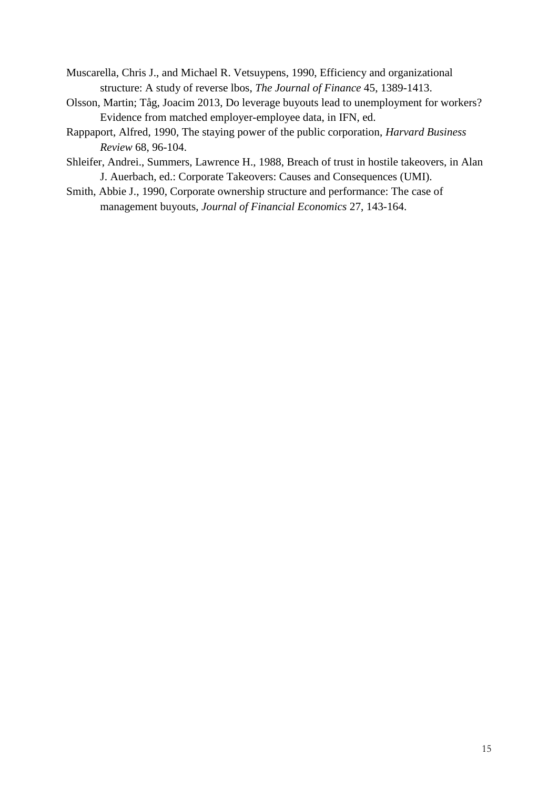- <span id="page-15-2"></span>Muscarella, Chris J., and Michael R. Vetsuypens, 1990, Efficiency and organizational structure: A study of reverse lbos, *The Journal of Finance* 45, 1389-1413.
- <span id="page-15-4"></span>Olsson, Martin; Tåg, Joacim 2013, Do leverage buyouts lead to unemployment for workers? Evidence from matched employer-employee data, in IFN, ed.
- <span id="page-15-1"></span>Rappaport, Alfred, 1990, The staying power of the public corporation, *Harvard Business Review* 68, 96-104.
- <span id="page-15-0"></span>Shleifer, Andrei., Summers, Lawrence H., 1988, Breach of trust in hostile takeovers, in Alan J. Auerbach, ed.: Corporate Takeovers: Causes and Consequences (UMI).
- <span id="page-15-3"></span>Smith, Abbie J., 1990, Corporate ownership structure and performance: The case of management buyouts, *Journal of Financial Economics* 27, 143-164.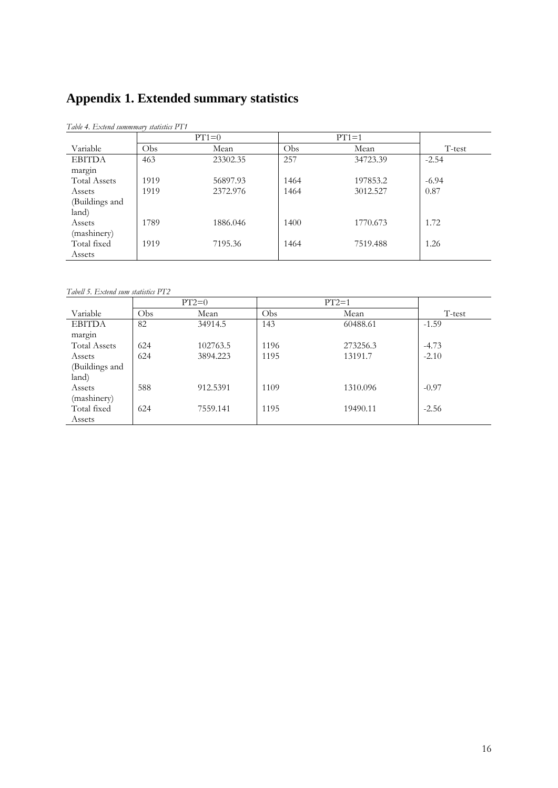## **Appendix 1. Extended summary statistics**

|                     |      | $PT1=0$  |      | $PT1=1$  |         |  |
|---------------------|------|----------|------|----------|---------|--|
| Variable            | Obs  | Mean     | Obs. | Mean     | T-test  |  |
| <b>EBITDA</b>       | 463  | 23302.35 | 257  | 34723.39 | $-2.54$ |  |
| margin              |      |          |      |          |         |  |
| <b>Total Assets</b> | 1919 | 56897.93 | 1464 | 197853.2 | $-6.94$ |  |
| Assets              | 1919 | 2372.976 | 1464 | 3012.527 | 0.87    |  |
| (Buildings and      |      |          |      |          |         |  |
| land)               |      |          |      |          |         |  |
| Assets              | 1789 | 1886.046 | 1400 | 1770.673 | 1.72    |  |
| (mashinery)         |      |          |      |          |         |  |
| Total fixed         | 1919 | 7195.36  | 1464 | 7519.488 | 1.26    |  |
| Assets              |      |          |      |          |         |  |

*Table 4. Extend summmary statistics PT1*

*Tabell 5. Extend sum statistics PT2*

|                     |     | $PT2=0$  |      | $PT2=1$  |         |
|---------------------|-----|----------|------|----------|---------|
| Variable            | Obs | Mean     | Obs  | Mean     | T-test  |
| <b>EBITDA</b>       | 82  | 34914.5  | 143  | 60488.61 | $-1.59$ |
| margin              |     |          |      |          |         |
| <b>Total Assets</b> | 624 | 102763.5 | 1196 | 273256.3 | $-4.73$ |
| Assets              | 624 | 3894.223 | 1195 | 13191.7  | $-2.10$ |
| (Buildings and      |     |          |      |          |         |
| land)               |     |          |      |          |         |
| Assets              | 588 | 912.5391 | 1109 | 1310.096 | $-0.97$ |
| (mashinery)         |     |          |      |          |         |
| Total fixed         | 624 | 7559.141 | 1195 | 19490.11 | $-2.56$ |
| Assets              |     |          |      |          |         |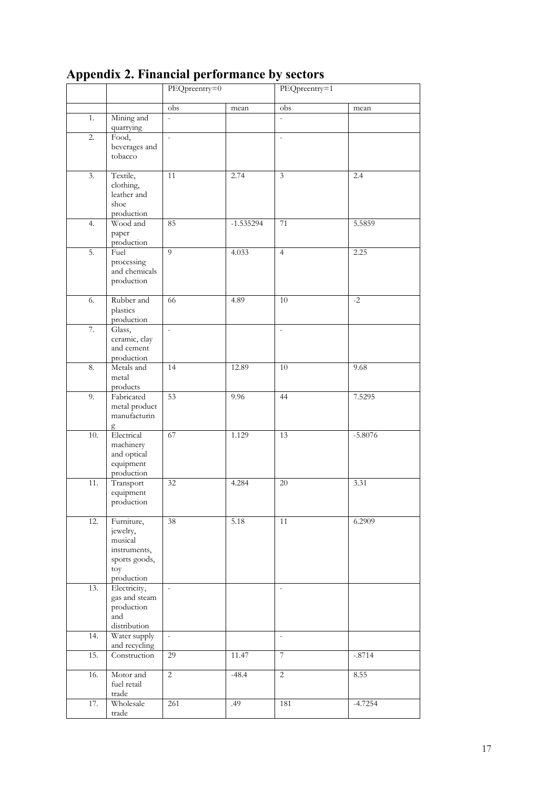| ≖                 |                                                                                         | PEQpreentry=0            |             | PEQpreentry=1             |           |
|-------------------|-----------------------------------------------------------------------------------------|--------------------------|-------------|---------------------------|-----------|
|                   |                                                                                         | $\overline{obs}$         | mean        | $\overline{\mathrm{obs}}$ | mean      |
| 1.                | Mining and<br>quarrying                                                                 | $\overline{a}$           |             | $\overline{a}$            |           |
| 2.                | Food,<br>beverages and<br>tobacco                                                       | $\overline{\phantom{a}}$ |             | $\overline{\phantom{a}}$  |           |
| 3.                | Textile,<br>clothing,<br>leather and<br>shoe<br>production                              | 11                       | 2.74        | 3                         | 2.4       |
| 4.                | Wood and<br>paper<br>production                                                         | 85                       | $-1.535294$ | 71                        | 5.5859    |
| 5.                | Fuel<br>processing<br>and chemicals<br>production                                       | 9                        | 4.033       | $\overline{4}$            | 2.25      |
| 6.                | Rubber and<br>plastics<br>production                                                    | 66                       | 4.89        | 10                        | $-2$      |
| 7.                | Glass,<br>ceramic, clay<br>and cement<br>production                                     | $\overline{\phantom{a}}$ |             | $\overline{\phantom{a}}$  |           |
| 8.                | Metals and<br>metal<br>products                                                         | 14                       | 12.89       | $10\,$                    | 9.68      |
| 9.                | Fabricated<br>metal product<br>manufacturin<br>g                                        | 53                       | 9.96        | 44                        | 7.5295    |
| 10.               | Electrical<br>machinery<br>and optical<br>equipment<br>production                       | 67                       | 1.129       | 13                        | $-5.8076$ |
| 11.               | Transport<br>equipment<br>production                                                    | 32                       | 4.284       | $20\,$                    | 3.31      |
| 12.               | Furniture,<br>jewelry,<br>musical<br>instruments,<br>sports goods,<br>toy<br>production | $\overline{38}$          | 5.18        | 11                        | 6.2909    |
| 13.               | Electricity,<br>gas and steam<br>production<br>and<br>distribution                      | $\mathcal{L}$            |             | $\blacksquare$            |           |
| $\overline{14}$ . | Water supply<br>and recycling                                                           | $\overline{\phantom{a}}$ |             | $\overline{\phantom{a}}$  |           |
| 15.               | Construction                                                                            | 29                       | 11.47       | $\overline{7}$            | $-.8714$  |
| 16.               | Motor and<br>fuel retail<br>trade                                                       | $\overline{2}$           | $-48.4$     | $\overline{2}$            | 8.55      |
| 17.               | Wholesale<br>trade                                                                      | 261                      | .49         | 181                       | $-4.7254$ |

### **Appendix 2. Financial performance by sectors**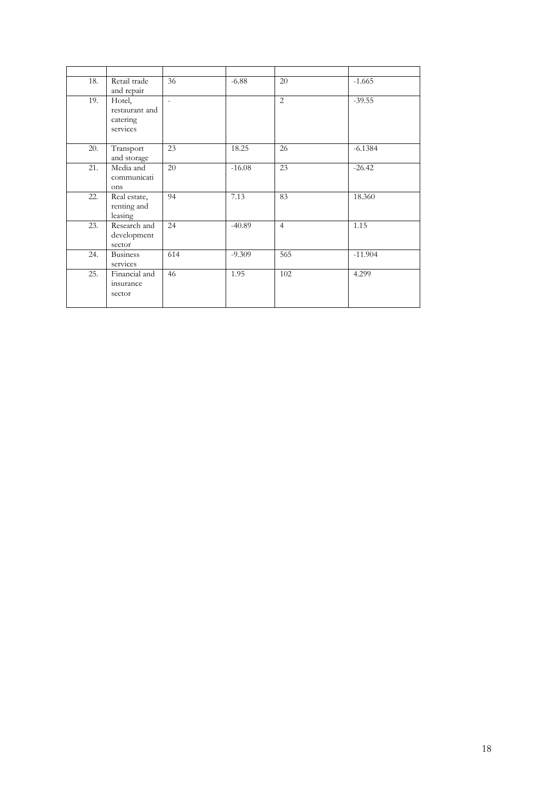| 18. | Retail trade<br>and repair                       | 36                       | $-6.88$  | 20             | $-1.665$  |
|-----|--------------------------------------------------|--------------------------|----------|----------------|-----------|
| 19. | Hotel,<br>restaurant and<br>catering<br>services | $\overline{\phantom{a}}$ |          | 2              | $-39.55$  |
| 20. | Transport<br>and storage                         | 23                       | 18.25    | 26             | $-6.1384$ |
| 21. | Media and<br>communicati<br>ons                  | 20                       | $-16.08$ | 23             | $-26.42$  |
| 22. | Real estate,<br>renting and<br>leasing           | 94                       | 7.13     | 83             | 18.360    |
| 23. | Research and<br>development<br>sector            | 24                       | $-40.89$ | $\overline{4}$ | 1.15      |
| 24. | <b>Business</b><br>services                      | 614                      | $-9.309$ | 565            | $-11.904$ |
| 25. | Financial and<br>insurance<br>sector             | 46                       | 1.95     | 102            | 4.299     |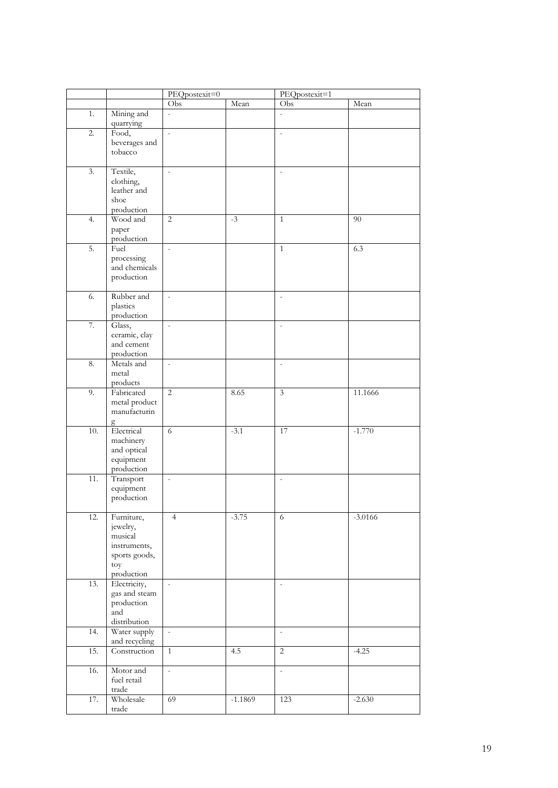|                   |                          | PEQpostexit=0            |           | PEQpostexit=1            |           |
|-------------------|--------------------------|--------------------------|-----------|--------------------------|-----------|
|                   |                          | Obs                      | Mean      | Obs                      | Mean      |
| 1.                | Mining and               | $\overline{a}$           |           | $\overline{a}$           |           |
|                   | quarrying                |                          |           |                          |           |
| 2.                | Food,                    | $\overline{\phantom{a}}$ |           | $\overline{\phantom{a}}$ |           |
|                   | beverages and            |                          |           |                          |           |
|                   | tobacco                  |                          |           |                          |           |
|                   |                          |                          |           |                          |           |
| $\overline{3}$ .  | Textile,                 | $\overline{\phantom{a}}$ |           | $\overline{\phantom{a}}$ |           |
|                   | clothing,                |                          |           |                          |           |
|                   | leather and              |                          |           |                          |           |
|                   | shoe                     |                          |           |                          |           |
|                   | production               |                          |           |                          |           |
| 4.                | Wood and                 | $\overline{c}$           | $-3$      | $\mathbf{1}$             | 90        |
|                   | paper                    |                          |           |                          |           |
|                   | production               |                          |           |                          |           |
| 5.                | Fuel                     | $\overline{a}$           |           | $\mathbf{1}$             | 6.3       |
|                   | processing               |                          |           |                          |           |
|                   | and chemicals            |                          |           |                          |           |
|                   | production               |                          |           |                          |           |
| 6.                | Rubber and               | $\overline{a}$           |           | $\overline{\phantom{a}}$ |           |
|                   | plastics                 |                          |           |                          |           |
|                   | production               |                          |           |                          |           |
| 7.                | Glass,                   | $\overline{\phantom{a}}$ |           | $\overline{\phantom{a}}$ |           |
|                   | ceramic, clay            |                          |           |                          |           |
|                   | and cement               |                          |           |                          |           |
|                   | production               |                          |           |                          |           |
| 8.                | Metals and               | $\overline{\phantom{a}}$ |           | $\overline{\phantom{a}}$ |           |
|                   | metal                    |                          |           |                          |           |
|                   | products                 |                          |           |                          |           |
| 9.                | Fabricated               | $\overline{2}$           | 8.65      | $\mathfrak z$            | 11.1666   |
|                   | metal product            |                          |           |                          |           |
|                   | manufacturin             |                          |           |                          |           |
|                   | g                        |                          |           |                          |           |
| 10.               | Electrical               | 6                        | $-3.1$    | 17                       | $-1.770$  |
|                   | machinery                |                          |           |                          |           |
|                   | and optical              |                          |           |                          |           |
|                   | equipment                |                          |           |                          |           |
|                   | production               |                          |           |                          |           |
| $\overline{11}$ . | Transport                | $\overline{a}$           |           | $\overline{a}$           |           |
|                   | equipment                |                          |           |                          |           |
|                   | production               |                          |           |                          |           |
| 12.               | Furniture,               | $\overline{4}$           | $-3.75$   | 6                        | $-3.0166$ |
|                   | jewelry,                 |                          |           |                          |           |
|                   | musical                  |                          |           |                          |           |
|                   | instruments,             |                          |           |                          |           |
|                   | sports goods,            |                          |           |                          |           |
|                   | toy                      |                          |           |                          |           |
|                   | production               |                          |           |                          |           |
| 13.               | Electricity,             | $\overline{\phantom{a}}$ |           | $\bar{\phantom{a}}$      |           |
|                   | gas and steam            |                          |           |                          |           |
|                   | production               |                          |           |                          |           |
|                   | and                      |                          |           |                          |           |
|                   | distribution             |                          |           |                          |           |
| 14.               | Water supply             | $\overline{\phantom{a}}$ |           | $\overline{\phantom{a}}$ |           |
|                   | and recycling            |                          |           |                          |           |
| 15.               | Construction             | $\mathbf{1}$             | 4.5       | 2                        | $-4.25$   |
|                   |                          |                          |           |                          |           |
| 16.               | Motor and<br>fuel retail | $\overline{\phantom{a}}$ |           | $\overline{\phantom{a}}$ |           |
|                   | trade                    |                          |           |                          |           |
| 17.               | Wholesale                | 69                       | $-1.1869$ | 123                      | $-2.630$  |
|                   | trade                    |                          |           |                          |           |
|                   |                          |                          |           |                          |           |